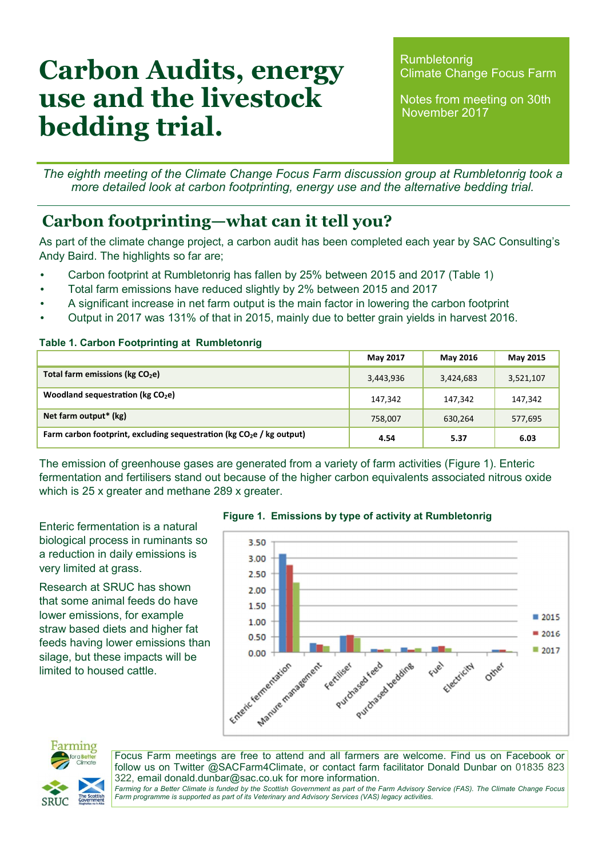# Carbon Audits, energy use and the livestock bedding trial.

Rumbletonrig Climate Change Focus Farm

Notes from meeting on 30th November 2017

The eighth meeting of the Climate Change Focus Farm discussion group at Rumbletonrig took a more detailed look at carbon footprinting, energy use and the alternative bedding trial.

### Carbon footprinting—what can it tell you?

As part of the climate change project, a carbon audit has been completed each year by SAC Consulting's Andy Baird. The highlights so far are;

- Carbon footprint at Rumbletonrig has fallen by 25% between 2015 and 2017 (Table 1)
- Total farm emissions have reduced slightly by 2% between 2015 and 2017
- A significant increase in net farm output is the main factor in lowering the carbon footprint
- Output in 2017 was 131% of that in 2015, mainly due to better grain yields in harvest 2016.

#### Table 1. Carbon Footprinting at Rumbletonrig

|                                                                         | May 2017  | May 2016  | May 2015  |
|-------------------------------------------------------------------------|-----------|-----------|-----------|
| Total farm emissions (kg CO <sub>2</sub> e)                             | 3,443,936 | 3,424,683 | 3,521,107 |
| Woodland sequestration ( $kg CO2e$ )                                    | 147,342   | 147,342   | 147,342   |
| Net farm output* (kg)                                                   | 758,007   | 630,264   | 577,695   |
| Farm carbon footprint, excluding sequestration ( $kg CO2e$ / kg output) | 4.54      | 5.37      | 6.03      |

The emission of greenhouse gases are generated from a variety of farm activities (Figure 1). Enteric fermentation and fertilisers stand out because of the higher carbon equivalents associated nitrous oxide which is 25 x greater and methane 289 x greater.

Enteric fermentation is a natural biological process in ruminants so a reduction in daily emissions is very limited at grass.

Research at SRUC has shown that some animal feeds do have lower emissions, for example straw based diets and higher fat feeds having lower emissions than silage, but these impacts will be limited to housed cattle.







Focus Farm meetings are free to attend and all farmers are welcome. Find us on Facebook or follow us on Twitter @SACFarm4Climate, or contact farm facilitator Donald Dunbar on 01835 823 322, email donald.dunbar@sac.co.uk for more information.

Farming for a Better Climate is funded by the Scottish Government as part of the Farm Advisory Service (FAS). The Climate Change Focus Farm programme is supported as part of its Veterinary and Advisory Services (VAS) legacy activities.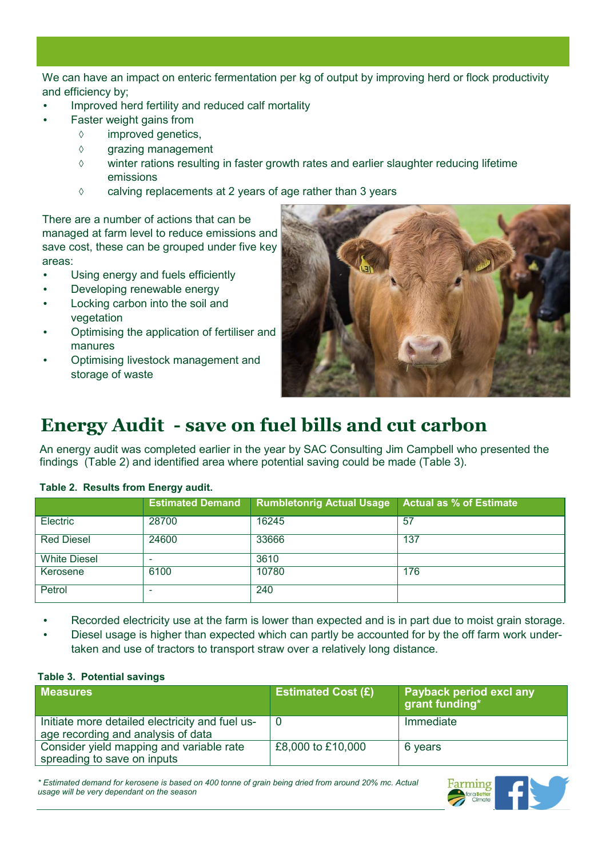We can have an impact on enteric fermentation per kg of output by improving herd or flock productivity and efficiency by;

- Improved herd fertility and reduced calf mortality
- Faster weight gains from
	- ◊ improved genetics,
		- ◊ grazing management
		- ◊ winter rations resulting in faster growth rates and earlier slaughter reducing lifetime emissions
		- ◊ calving replacements at 2 years of age rather than 3 years

There are a number of actions that can be managed at farm level to reduce emissions and save cost, these can be grouped under five key areas:

- Using energy and fuels efficiently
- Developing renewable energy
- Locking carbon into the soil and vegetation
- Optimising the application of fertiliser and manures
- Optimising livestock management and storage of waste



# Energy Audit - save on fuel bills and cut carbon

An energy audit was completed earlier in the year by SAC Consulting Jim Campbell who presented the findings (Table 2) and identified area where potential saving could be made (Table 3).

|                     | <b>Estimated Demand</b> | <b>Rumbletonrig Actual Usage</b> | <b>Actual as % of Estimate</b> |
|---------------------|-------------------------|----------------------------------|--------------------------------|
| Electric            | 28700                   | 16245                            | 57                             |
| <b>Red Diesel</b>   | 24600                   | 33666                            | 137                            |
| <b>White Diesel</b> | ۰                       | 3610                             |                                |
| Kerosene            | 6100                    | 10780                            | 176                            |
| Petrol              | -                       | 240                              |                                |

#### Table 2. Results from Energy audit.

- Recorded electricity use at the farm is lower than expected and is in part due to moist grain storage.
- Diesel usage is higher than expected which can partly be accounted for by the off farm work undertaken and use of tractors to transport straw over a relatively long distance.

#### Table 3. Potential savings

| <b>Measures</b>                                                                       | <b>Estimated Cost (£)</b> | <b>Payback period excl any</b><br>grant funding* |
|---------------------------------------------------------------------------------------|---------------------------|--------------------------------------------------|
| Initiate more detailed electricity and fuel us-<br>age recording and analysis of data | O                         | Immediate                                        |
| Consider yield mapping and variable rate<br>spreading to save on inputs               | £8,000 to £10,000         | 6 years                                          |

\* Estimated demand for kerosene is based on 400 tonne of grain being dried from around 20% mc. Actual usage will be very dependant on the season

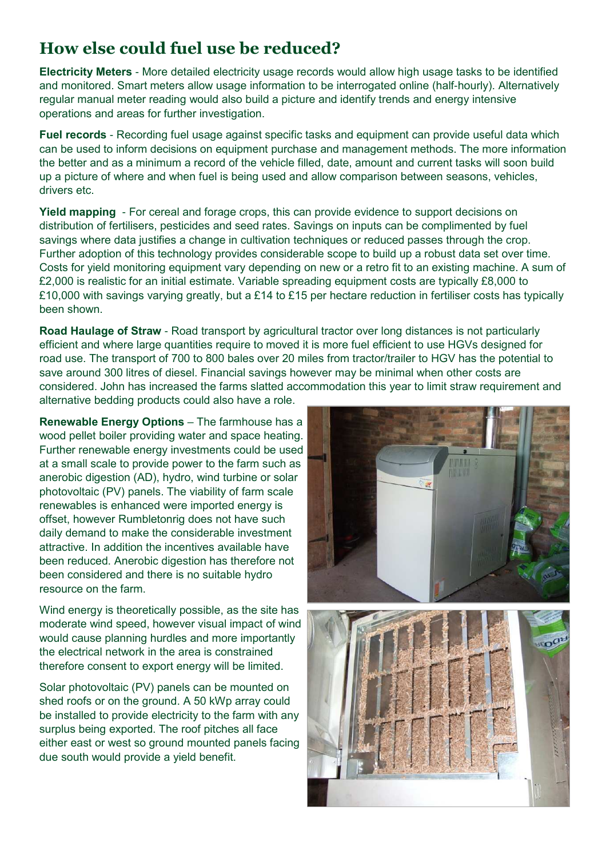### How else could fuel use be reduced?

Electricity Meters - More detailed electricity usage records would allow high usage tasks to be identified and monitored. Smart meters allow usage information to be interrogated online (half-hourly). Alternatively regular manual meter reading would also build a picture and identify trends and energy intensive operations and areas for further investigation.

Fuel records - Recording fuel usage against specific tasks and equipment can provide useful data which can be used to inform decisions on equipment purchase and management methods. The more information the better and as a minimum a record of the vehicle filled, date, amount and current tasks will soon build up a picture of where and when fuel is being used and allow comparison between seasons, vehicles, drivers etc.

Yield mapping - For cereal and forage crops, this can provide evidence to support decisions on distribution of fertilisers, pesticides and seed rates. Savings on inputs can be complimented by fuel savings where data justifies a change in cultivation techniques or reduced passes through the crop. Further adoption of this technology provides considerable scope to build up a robust data set over time. Costs for yield monitoring equipment vary depending on new or a retro fit to an existing machine. A sum of £2,000 is realistic for an initial estimate. Variable spreading equipment costs are typically £8,000 to £10,000 with savings varying greatly, but a £14 to £15 per hectare reduction in fertiliser costs has typically been shown.

Road Haulage of Straw - Road transport by agricultural tractor over long distances is not particularly efficient and where large quantities require to moved it is more fuel efficient to use HGVs designed for road use. The transport of 700 to 800 bales over 20 miles from tractor/trailer to HGV has the potential to save around 300 litres of diesel. Financial savings however may be minimal when other costs are considered. John has increased the farms slatted accommodation this year to limit straw requirement and alternative bedding products could also have a role.

Renewable Energy Options – The farmhouse has a wood pellet boiler providing water and space heating. Further renewable energy investments could be used at a small scale to provide power to the farm such as anerobic digestion (AD), hydro, wind turbine or solar photovoltaic (PV) panels. The viability of farm scale renewables is enhanced were imported energy is offset, however Rumbletonrig does not have such daily demand to make the considerable investment attractive. In addition the incentives available have been reduced. Anerobic digestion has therefore not been considered and there is no suitable hydro resource on the farm.

Wind energy is theoretically possible, as the site has moderate wind speed, however visual impact of wind would cause planning hurdles and more importantly the electrical network in the area is constrained therefore consent to export energy will be limited.

Solar photovoltaic (PV) panels can be mounted on shed roofs or on the ground. A 50 kWp array could be installed to provide electricity to the farm with any surplus being exported. The roof pitches all face either east or west so ground mounted panels facing due south would provide a yield benefit.